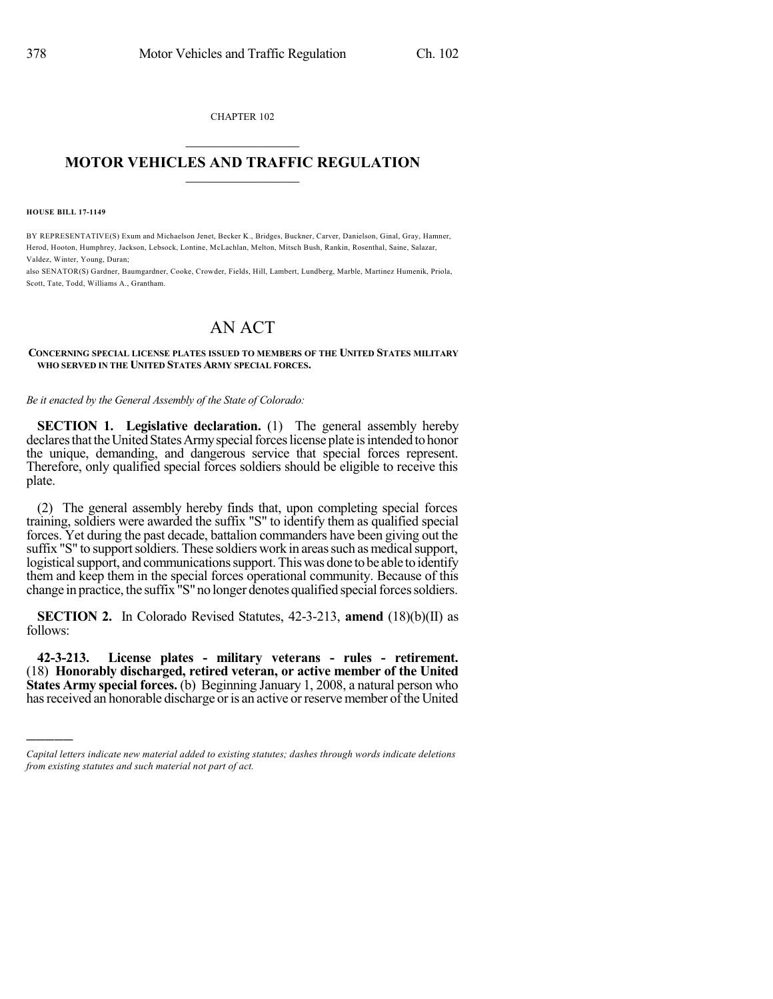CHAPTER 102

## $\mathcal{L}_\text{max}$  . The set of the set of the set of the set of the set of the set of the set of the set of the set of the set of the set of the set of the set of the set of the set of the set of the set of the set of the set **MOTOR VEHICLES AND TRAFFIC REGULATION**  $\_$   $\_$   $\_$   $\_$   $\_$   $\_$   $\_$   $\_$   $\_$   $\_$

**HOUSE BILL 17-1149**

)))))

BY REPRESENTATIVE(S) Exum and Michaelson Jenet, Becker K., Bridges, Buckner, Carver, Danielson, Ginal, Gray, Hamner, Herod, Hooton, Humphrey, Jackson, Lebsock, Lontine, McLachlan, Melton, Mitsch Bush, Rankin, Rosenthal, Saine, Salazar, Valdez, Winter, Young, Duran;

also SENATOR(S) Gardner, Baumgardner, Cooke, Crowder, Fields, Hill, Lambert, Lundberg, Marble, Martinez Humenik, Priola, Scott, Tate, Todd, Williams A., Grantham.

## AN ACT

## **CONCERNING SPECIAL LICENSE PLATES ISSUED TO MEMBERS OF THE UNITED STATES MILITARY WHO SERVED IN THE UNITED STATES ARMY SPECIAL FORCES.**

*Be it enacted by the General Assembly of the State of Colorado:*

**SECTION 1. Legislative declaration.** (1) The general assembly hereby declares that the United States Army special forces license plate is intended to honor the unique, demanding, and dangerous service that special forces represent. Therefore, only qualified special forces soldiers should be eligible to receive this plate.

(2) The general assembly hereby finds that, upon completing special forces training, soldiers were awarded the suffix "S" to identify them as qualified special forces. Yet during the past decade, battalion commanders have been giving out the suffix "S" to support soldiers. These soldiers work in areas such as medical support, logistical support, and communications support. This was done to be able to identify them and keep them in the special forces operational community. Because of this change in practice, the suffix "S" no longer denotes qualified special forces soldiers.

**SECTION 2.** In Colorado Revised Statutes, 42-3-213, **amend** (18)(b)(II) as follows:

**42-3-213. License plates - military veterans - rules - retirement.** (18) **Honorably discharged, retired veteran, or active member of the United States Army special forces.** (b) Beginning January 1, 2008, a natural person who has received an honorable discharge or is an active or reserve member of the United

*Capital letters indicate new material added to existing statutes; dashes through words indicate deletions from existing statutes and such material not part of act.*